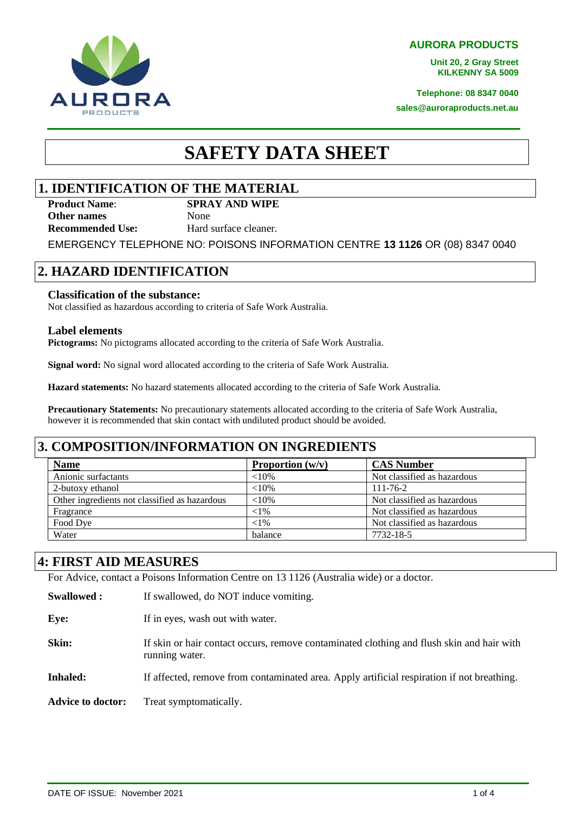**AURORA PRODUCTS**

**Unit 20, 2 Gray Street KILKENNY SA 5009**

**Telephone: 08 8347 0040**

**sales@auroraproducts.net.au**

# **SAFETY DATA SHEET**

# **1. IDENTIFICATION OF THE MATERIAL**

**Product Name**: **SPRAY AND WIPE Other names** None

AURORA PRODUCTS

**Recommended Use:** Hard surface cleaner.

EMERGENCY TELEPHONE NO: POISONS INFORMATION CENTRE **13 1126** OR (08) 8347 0040

# **2. HAZARD IDENTIFICATION**

#### **Classification of the substance:**

Not classified as hazardous according to criteria of Safe Work Australia.

#### **Label elements**

**Pictograms:** No pictograms allocated according to the criteria of Safe Work Australia.

**Signal word:** No signal word allocated according to the criteria of Safe Work Australia.

**Hazard statements:** No hazard statements allocated according to the criteria of Safe Work Australia.

**Precautionary Statements:** No precautionary statements allocated according to the criteria of Safe Work Australia, however it is recommended that skin contact with undiluted product should be avoided.

### **3. COMPOSITION/INFORMATION ON INGREDIENTS**

| <b>Name</b>                                   | Proportion $(w/v)$ | <b>CAS Number</b>           |
|-----------------------------------------------|--------------------|-----------------------------|
| Anionic surfactants                           | ${<}10\%$          | Not classified as hazardous |
| 2-butoxy ethanol                              | $<10\%$            | $111 - 76 - 2$              |
| Other ingredients not classified as hazardous | ${<}10\%$          | Not classified as hazardous |
| Fragrance                                     | ${<}1\%$           | Not classified as hazardous |
| Food Dye                                      | ${<}1\%$           | Not classified as hazardous |
| Water                                         | balance            | 7732-18-5                   |

# **4: FIRST AID MEASURES**

For Advice, contact a Poisons Information Centre on 13 1126 (Australia wide) or a doctor.

| <b>Swallowed:</b>        | If swallowed, do NOT induce vomiting.                                                                       |
|--------------------------|-------------------------------------------------------------------------------------------------------------|
| Eye:                     | If in eyes, wash out with water.                                                                            |
| Skin:                    | If skin or hair contact occurs, remove contaminated clothing and flush skin and hair with<br>running water. |
| <b>Inhaled:</b>          | If affected, remove from contaminated area. Apply artificial respiration if not breathing.                  |
| <b>Advice to doctor:</b> | Treat symptomatically.                                                                                      |



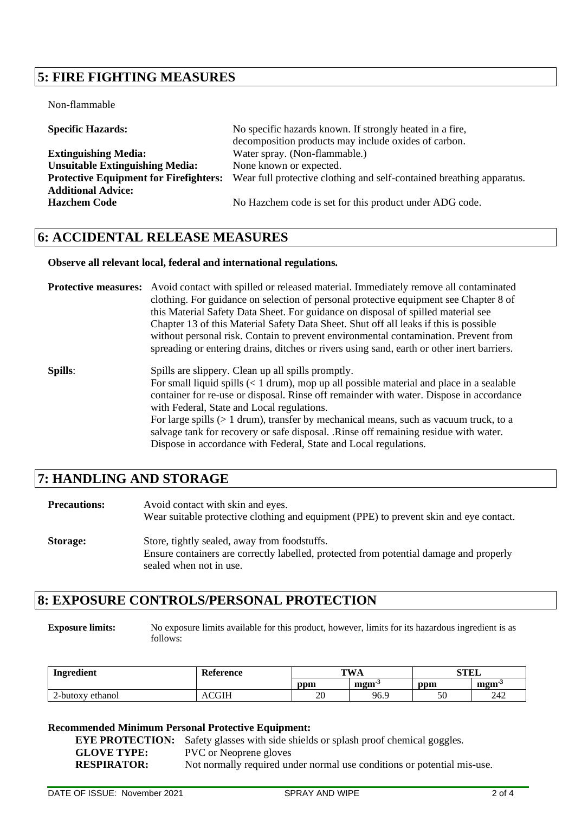## **5: FIRE FIGHTING MEASURES**

Non-flammable

| <b>Specific Hazards:</b>                      | No specific hazards known. If strongly heated in a fire,              |
|-----------------------------------------------|-----------------------------------------------------------------------|
|                                               | decomposition products may include oxides of carbon.                  |
| <b>Extinguishing Media:</b>                   | Water spray. (Non-flammable.)                                         |
| <b>Unsuitable Extinguishing Media:</b>        | None known or expected.                                               |
| <b>Protective Equipment for Firefighters:</b> | Wear full protective clothing and self-contained breathing apparatus. |
| <b>Additional Advice:</b>                     |                                                                       |
| <b>Hazchem Code</b>                           | No Hazchem code is set for this product under ADG code.               |
|                                               |                                                                       |

### **6: ACCIDENTAL RELEASE MEASURES**

#### **Observe all relevant local, federal and international regulations.**

**Protective measures:** Avoid contact with spilled or released material. Immediately remove all contaminated clothing. For guidance on selection of personal protective equipment see Chapter 8 of this Material Safety Data Sheet. For guidance on disposal of spilled material see Chapter 13 of this Material Safety Data Sheet. Shut off all leaks if this is possible without personal risk. Contain to prevent environmental contamination. Prevent from spreading or entering drains, ditches or rivers using sand, earth or other inert barriers. **Spills**: Spills are slippery. Clean up all spills promptly.

For small liquid spills (< 1 drum), mop up all possible material and place in a sealable container for re-use or disposal. Rinse off remainder with water. Dispose in accordance with Federal, State and Local regulations. For large spills (> 1 drum), transfer by mechanical means, such as vacuum truck, to a salvage tank for recovery or safe disposal. .Rinse off remaining residue with water. Dispose in accordance with Federal, State and Local regulations.

# **7: HANDLING AND STORAGE**

| <b>Precautions:</b> | Avoid contact with skin and eyes.<br>Wear suitable protective clothing and equipment (PPE) to prevent skin and eye contact.                                       |
|---------------------|-------------------------------------------------------------------------------------------------------------------------------------------------------------------|
| <b>Storage:</b>     | Store, tightly sealed, away from foodstuffs.<br>Ensure containers are correctly labelled, protected from potential damage and properly<br>sealed when not in use. |

### **8: EXPOSURE CONTROLS/PERSONAL PROTECTION**

**Exposure limits:** No exposure limits available for this product, however, limits for its hazardous ingredient is as follows:

| Ingredient                  | Reference | TW.      |                                  | STEL     |                         |
|-----------------------------|-----------|----------|----------------------------------|----------|-------------------------|
|                             |           | ppm      | $\mathbf{m}\mathbf{g}\mathbf{m}$ | ppm      | $\mathbf{m}$ gm $\cdot$ |
| ethanol<br>$\angle$ -butoxy | `GIH      | ንቦ<br>ZU | 96.9                             | cΩ<br>υU | 242                     |

#### **Recommended Minimum Personal Protective Equipment:**

**EYE PROTECTION:** Safety glasses with side shields or splash proof chemical goggles. **GLOVE TYPE:** PVC or Neoprene gloves **RESPIRATOR:** Not normally required under normal use conditions or potential mis-use.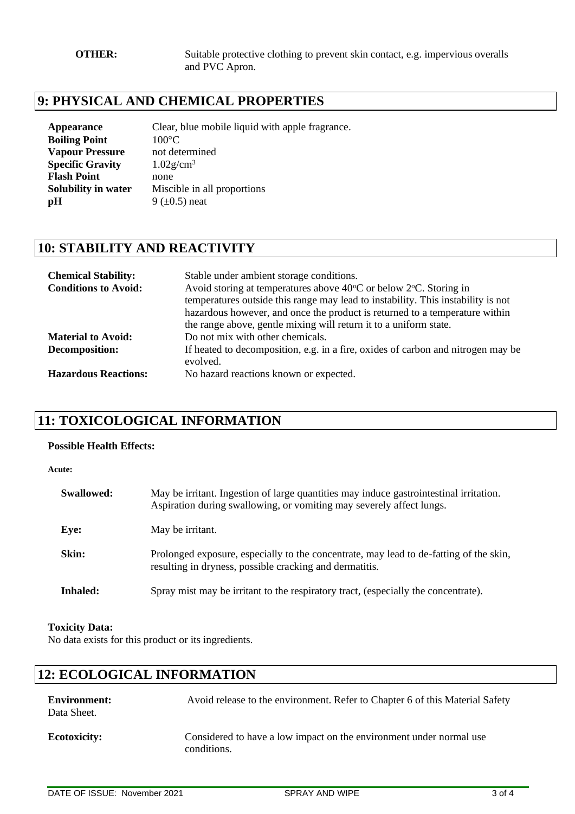# **9: PHYSICAL AND CHEMICAL PROPERTIES**

| Appearance              | Clear, blue mobile liquid with apple fragrance. |
|-------------------------|-------------------------------------------------|
| <b>Boiling Point</b>    | $100^{\circ}$ C                                 |
| <b>Vapour Pressure</b>  | not determined                                  |
| <b>Specific Gravity</b> | $1.02$ g/cm <sup>3</sup>                        |
| <b>Flash Point</b>      | none                                            |
| Solubility in water     | Miscible in all proportions                     |
| рH                      | 9 ( $\pm$ 0.5) neat                             |

# **10: STABILITY AND REACTIVITY**

| <b>Chemical Stability:</b>  | Stable under ambient storage conditions.                                                     |
|-----------------------------|----------------------------------------------------------------------------------------------|
| <b>Conditions to Avoid:</b> | Avoid storing at temperatures above $40^{\circ}$ C or below $2^{\circ}$ C. Storing in        |
|                             | temperatures outside this range may lead to instability. This instability is not             |
|                             | hazardous however, and once the product is returned to a temperature within                  |
|                             | the range above, gentle mixing will return it to a uniform state.                            |
| <b>Material to Avoid:</b>   | Do not mix with other chemicals.                                                             |
| Decomposition:              | If heated to decomposition, e.g. in a fire, oxides of carbon and nitrogen may be<br>evolved. |
|                             |                                                                                              |
| <b>Hazardous Reactions:</b> | No hazard reactions known or expected.                                                       |

# **11: TOXICOLOGICAL INFORMATION**

#### **Possible Health Effects:**

| <b>Acute:</b> |                                                                                                                                                                |
|---------------|----------------------------------------------------------------------------------------------------------------------------------------------------------------|
| Swallowed:    | May be irritant. Ingestion of large quantities may induce gastrointestinal irritation.<br>Aspiration during swallowing, or vomiting may severely affect lungs. |
| Eye:          | May be irritant.                                                                                                                                               |
| Skin:         | Prolonged exposure, especially to the concentrate, may lead to de-fatting of the skin,<br>resulting in dryness, possible cracking and dermatitis.              |
| Inhaled:      | Spray mist may be irritant to the respiratory tract, (especially the concentrate).                                                                             |

#### **Toxicity Data:**

No data exists for this product or its ingredients.

# **12: ECOLOGICAL INFORMATION**

| <b>Environment:</b><br>Data Sheet. | Avoid release to the environment. Refer to Chapter 6 of this Material Safety       |
|------------------------------------|------------------------------------------------------------------------------------|
| <b>Ecotoxicity:</b>                | Considered to have a low impact on the environment under normal use<br>conditions. |